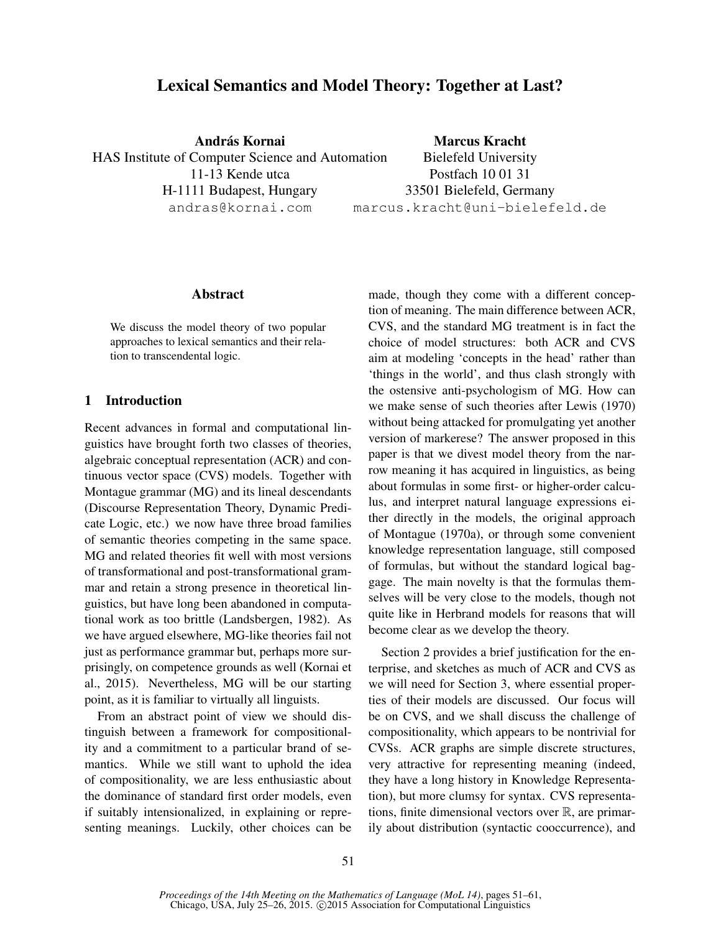# Lexical Semantics and Model Theory: Together at Last?

András Kornai HAS Institute of Computer Science and Automation 11-13 Kende utca H-1111 Budapest, Hungary andras@kornai.com

Marcus Kracht Bielefeld University Postfach 10 01 31 33501 Bielefeld, Germany marcus.kracht@uni-bielefeld.de

### Abstract

We discuss the model theory of two popular approaches to lexical semantics and their relation to transcendental logic.

## 1 Introduction

Recent advances in formal and computational linguistics have brought forth two classes of theories, algebraic conceptual representation (ACR) and continuous vector space (CVS) models. Together with Montague grammar (MG) and its lineal descendants (Discourse Representation Theory, Dynamic Predicate Logic, etc.) we now have three broad families of semantic theories competing in the same space. MG and related theories fit well with most versions of transformational and post-transformational grammar and retain a strong presence in theoretical linguistics, but have long been abandoned in computational work as too brittle (Landsbergen, 1982). As we have argued elsewhere, MG-like theories fail not just as performance grammar but, perhaps more surprisingly, on competence grounds as well (Kornai et al., 2015). Nevertheless, MG will be our starting point, as it is familiar to virtually all linguists.

From an abstract point of view we should distinguish between a framework for compositionality and a commitment to a particular brand of semantics. While we still want to uphold the idea of compositionality, we are less enthusiastic about the dominance of standard first order models, even if suitably intensionalized, in explaining or representing meanings. Luckily, other choices can be made, though they come with a different conception of meaning. The main difference between ACR, CVS, and the standard MG treatment is in fact the choice of model structures: both ACR and CVS aim at modeling 'concepts in the head' rather than 'things in the world', and thus clash strongly with the ostensive anti-psychologism of MG. How can we make sense of such theories after Lewis (1970) without being attacked for promulgating yet another version of markerese? The answer proposed in this paper is that we divest model theory from the narrow meaning it has acquired in linguistics, as being about formulas in some first- or higher-order calculus, and interpret natural language expressions either directly in the models, the original approach of Montague (1970a), or through some convenient knowledge representation language, still composed of formulas, but without the standard logical baggage. The main novelty is that the formulas themselves will be very close to the models, though not quite like in Herbrand models for reasons that will become clear as we develop the theory.

Section 2 provides a brief justification for the enterprise, and sketches as much of ACR and CVS as we will need for Section 3, where essential properties of their models are discussed. Our focus will be on CVS, and we shall discuss the challenge of compositionality, which appears to be nontrivial for CVSs. ACR graphs are simple discrete structures, very attractive for representing meaning (indeed, they have a long history in Knowledge Representation), but more clumsy for syntax. CVS representations, finite dimensional vectors over  $\mathbb{R}$ , are primarily about distribution (syntactic cooccurrence), and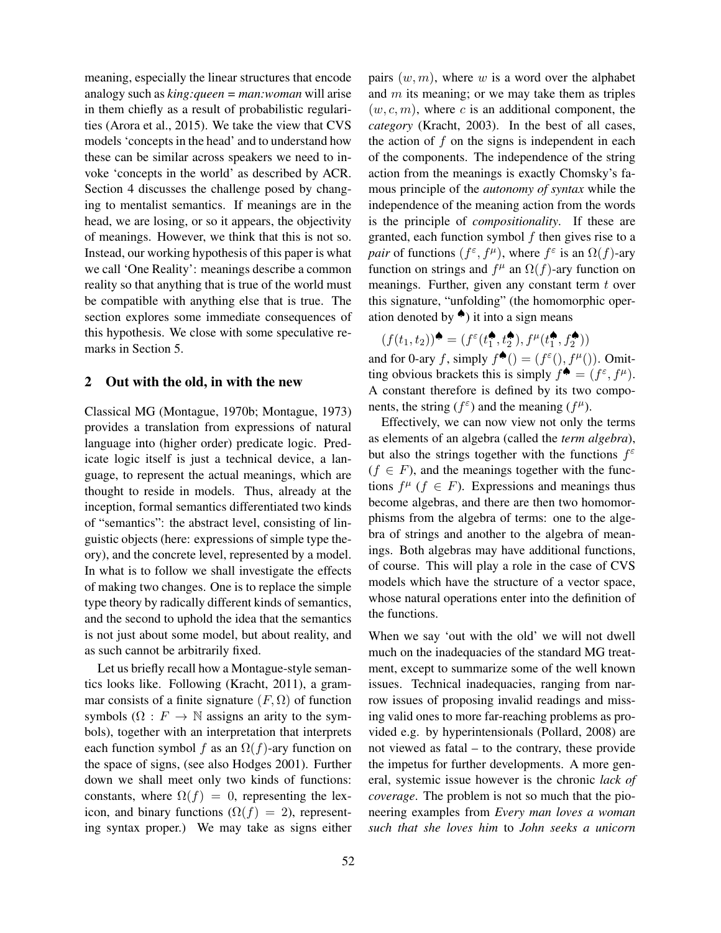meaning, especially the linear structures that encode analogy such as *king:queen = man:woman* will arise in them chiefly as a result of probabilistic regularities (Arora et al., 2015). We take the view that CVS models 'concepts in the head' and to understand how these can be similar across speakers we need to invoke 'concepts in the world' as described by ACR. Section 4 discusses the challenge posed by changing to mentalist semantics. If meanings are in the head, we are losing, or so it appears, the objectivity of meanings. However, we think that this is not so. Instead, our working hypothesis of this paper is what we call 'One Reality': meanings describe a common reality so that anything that is true of the world must be compatible with anything else that is true. The section explores some immediate consequences of this hypothesis. We close with some speculative remarks in Section 5.

### 2 Out with the old, in with the new

Classical MG (Montague, 1970b; Montague, 1973) provides a translation from expressions of natural language into (higher order) predicate logic. Predicate logic itself is just a technical device, a language, to represent the actual meanings, which are thought to reside in models. Thus, already at the inception, formal semantics differentiated two kinds of "semantics": the abstract level, consisting of linguistic objects (here: expressions of simple type theory), and the concrete level, represented by a model. In what is to follow we shall investigate the effects of making two changes. One is to replace the simple type theory by radically different kinds of semantics, and the second to uphold the idea that the semantics is not just about some model, but about reality, and as such cannot be arbitrarily fixed.

Let us briefly recall how a Montague-style semantics looks like. Following (Kracht, 2011), a grammar consists of a finite signature  $(F, \Omega)$  of function symbols  $(\Omega : F \to \mathbb{N}$  assigns an arity to the symbols), together with an interpretation that interprets each function symbol f as an  $\Omega(f)$ -ary function on the space of signs, (see also Hodges 2001). Further down we shall meet only two kinds of functions: constants, where  $\Omega(f) = 0$ , representing the lexicon, and binary functions  $(\Omega(f) = 2)$ , representing syntax proper.) We may take as signs either pairs  $(w, m)$ , where w is a word over the alphabet and  $m$  its meaning; or we may take them as triples  $(w, c, m)$ , where c is an additional component, the *category* (Kracht, 2003). In the best of all cases, the action of  $f$  on the signs is independent in each of the components. The independence of the string action from the meanings is exactly Chomsky's famous principle of the *autonomy of syntax* while the independence of the meaning action from the words is the principle of *compositionality*. If these are granted, each function symbol  $f$  then gives rise to a *pair* of functions  $(f^{\varepsilon}, f^{\mu})$ , where  $f^{\varepsilon}$  is an  $\Omega(f)$ -ary function on strings and  $f^{\mu}$  an  $\Omega(f)$ -ary function on meanings. Further, given any constant term  $t$  over this signature, "unfolding" (the homomorphic operation denoted by  $\triangleq$ ) it into a sign means

 $(f(t_1, t_2))$ <sup> $\bullet$ </sup> =  $(f^{\varepsilon}(t_1^{\bullet}, t_2^{\bullet}), f^{\mu}(t_1^{\bullet}, f_2^{\bullet}))$ and for 0-ary f, simply  $f^{\spadesuit}() = (f^{\varepsilon}(), f^{\mu})).$  Omitting obvious brackets this is simply  $f^{\spadesuit} = (f^{\varepsilon}, f^{\mu})$ . A constant therefore is defined by its two components, the string  $(f^{\varepsilon})$  and the meaning  $(f^{\mu})$ .

Effectively, we can now view not only the terms as elements of an algebra (called the *term algebra*), but also the strings together with the functions  $f^{\varepsilon}$  $(f \in F)$ , and the meanings together with the functions  $f^{\mu}$  ( $f \in F$ ). Expressions and meanings thus become algebras, and there are then two homomorphisms from the algebra of terms: one to the algebra of strings and another to the algebra of meanings. Both algebras may have additional functions, of course. This will play a role in the case of CVS models which have the structure of a vector space, whose natural operations enter into the definition of the functions.

When we say 'out with the old' we will not dwell much on the inadequacies of the standard MG treatment, except to summarize some of the well known issues. Technical inadequacies, ranging from narrow issues of proposing invalid readings and missing valid ones to more far-reaching problems as provided e.g. by hyperintensionals (Pollard, 2008) are not viewed as fatal – to the contrary, these provide the impetus for further developments. A more general, systemic issue however is the chronic *lack of coverage*. The problem is not so much that the pioneering examples from *Every man loves a woman such that she loves him* to *John seeks a unicorn*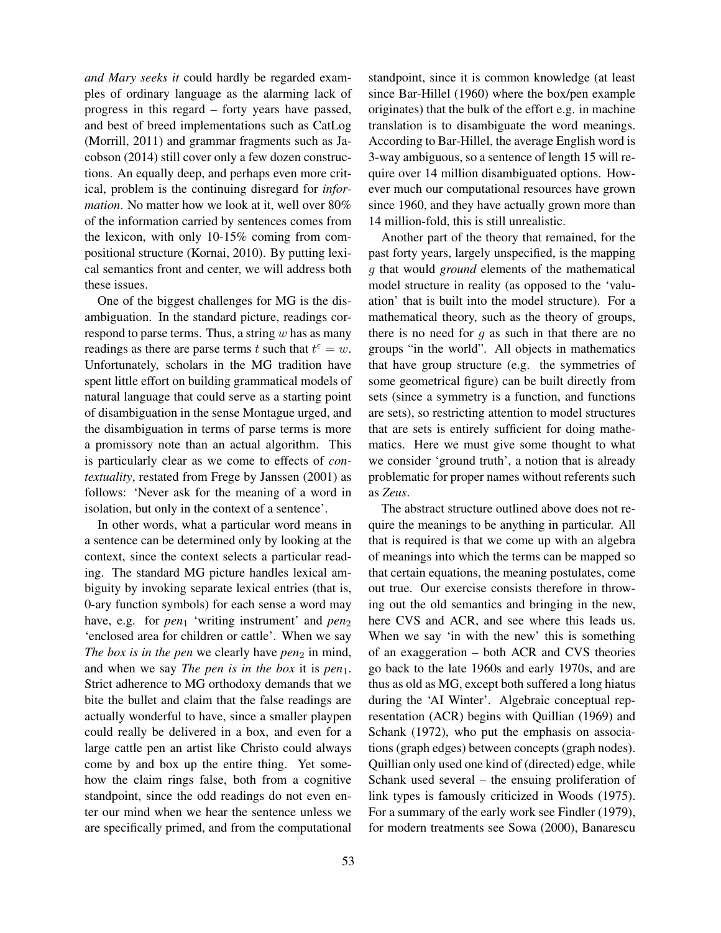*and Mary seeks it* could hardly be regarded examples of ordinary language as the alarming lack of progress in this regard – forty years have passed, and best of breed implementations such as CatLog (Morrill, 2011) and grammar fragments such as Jacobson (2014) still cover only a few dozen constructions. An equally deep, and perhaps even more critical, problem is the continuing disregard for *information*. No matter how we look at it, well over 80% of the information carried by sentences comes from the lexicon, with only 10-15% coming from compositional structure (Kornai, 2010). By putting lexical semantics front and center, we will address both these issues.

One of the biggest challenges for MG is the disambiguation. In the standard picture, readings correspond to parse terms. Thus, a string  $w$  has as many readings as there are parse terms t such that  $t^{\epsilon} = w$ . Unfortunately, scholars in the MG tradition have spent little effort on building grammatical models of natural language that could serve as a starting point of disambiguation in the sense Montague urged, and the disambiguation in terms of parse terms is more a promissory note than an actual algorithm. This is particularly clear as we come to effects of *contextuality*, restated from Frege by Janssen (2001) as follows: 'Never ask for the meaning of a word in isolation, but only in the context of a sentence'.

In other words, what a particular word means in a sentence can be determined only by looking at the context, since the context selects a particular reading. The standard MG picture handles lexical ambiguity by invoking separate lexical entries (that is, 0-ary function symbols) for each sense a word may have, e.g. for *pen*<sub>1</sub> 'writing instrument' and *pen*<sub>2</sub> 'enclosed area for children or cattle'. When we say *The box is in the pen* we clearly have  $pen_2$  in mind, and when we say *The pen is in the box* it is *pen*<sub>1</sub>. Strict adherence to MG orthodoxy demands that we bite the bullet and claim that the false readings are actually wonderful to have, since a smaller playpen could really be delivered in a box, and even for a large cattle pen an artist like Christo could always come by and box up the entire thing. Yet somehow the claim rings false, both from a cognitive standpoint, since the odd readings do not even enter our mind when we hear the sentence unless we are specifically primed, and from the computational standpoint, since it is common knowledge (at least since Bar-Hillel (1960) where the box/pen example originates) that the bulk of the effort e.g. in machine translation is to disambiguate the word meanings. According to Bar-Hillel, the average English word is 3-way ambiguous, so a sentence of length 15 will require over 14 million disambiguated options. However much our computational resources have grown since 1960, and they have actually grown more than 14 million-fold, this is still unrealistic.

Another part of the theory that remained, for the past forty years, largely unspecified, is the mapping g that would *ground* elements of the mathematical model structure in reality (as opposed to the 'valuation' that is built into the model structure). For a mathematical theory, such as the theory of groups, there is no need for  $g$  as such in that there are no groups "in the world". All objects in mathematics that have group structure (e.g. the symmetries of some geometrical figure) can be built directly from sets (since a symmetry is a function, and functions are sets), so restricting attention to model structures that are sets is entirely sufficient for doing mathematics. Here we must give some thought to what we consider 'ground truth', a notion that is already problematic for proper names without referents such as *Zeus*.

The abstract structure outlined above does not require the meanings to be anything in particular. All that is required is that we come up with an algebra of meanings into which the terms can be mapped so that certain equations, the meaning postulates, come out true. Our exercise consists therefore in throwing out the old semantics and bringing in the new, here CVS and ACR, and see where this leads us. When we say 'in with the new' this is something of an exaggeration – both ACR and CVS theories go back to the late 1960s and early 1970s, and are thus as old as MG, except both suffered a long hiatus during the 'AI Winter'. Algebraic conceptual representation (ACR) begins with Quillian (1969) and Schank (1972), who put the emphasis on associations (graph edges) between concepts (graph nodes). Quillian only used one kind of (directed) edge, while Schank used several – the ensuing proliferation of link types is famously criticized in Woods (1975). For a summary of the early work see Findler (1979), for modern treatments see Sowa (2000), Banarescu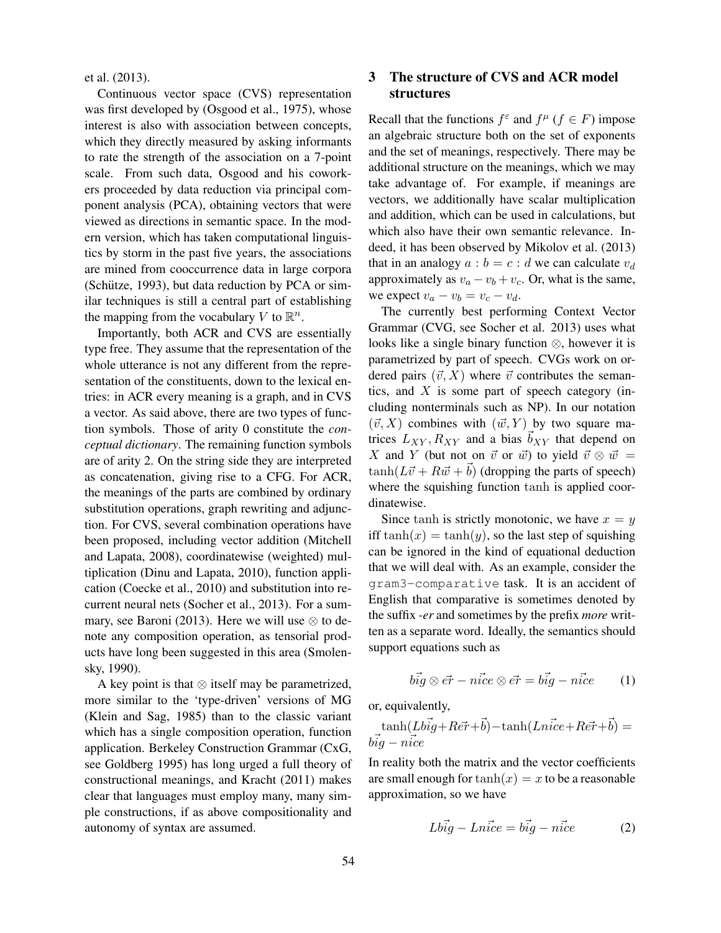et al. (2013).

Continuous vector space (CVS) representation was first developed by (Osgood et al., 1975), whose interest is also with association between concepts, which they directly measured by asking informants to rate the strength of the association on a 7-point scale. From such data, Osgood and his coworkers proceeded by data reduction via principal component analysis (PCA), obtaining vectors that were viewed as directions in semantic space. In the modern version, which has taken computational linguistics by storm in the past five years, the associations are mined from cooccurrence data in large corpora (Schütze, 1993), but data reduction by PCA or similar techniques is still a central part of establishing the mapping from the vocabulary V to  $\mathbb{R}^n$ .

Importantly, both ACR and CVS are essentially type free. They assume that the representation of the whole utterance is not any different from the representation of the constituents, down to the lexical entries: in ACR every meaning is a graph, and in CVS a vector. As said above, there are two types of function symbols. Those of arity 0 constitute the *conceptual dictionary*. The remaining function symbols are of arity 2. On the string side they are interpreted as concatenation, giving rise to a CFG. For ACR, the meanings of the parts are combined by ordinary substitution operations, graph rewriting and adjunction. For CVS, several combination operations have been proposed, including vector addition (Mitchell and Lapata, 2008), coordinatewise (weighted) multiplication (Dinu and Lapata, 2010), function application (Coecke et al., 2010) and substitution into recurrent neural nets (Socher et al., 2013). For a summary, see Baroni (2013). Here we will use  $\otimes$  to denote any composition operation, as tensorial products have long been suggested in this area (Smolensky, 1990).

A key point is that ⊗ itself may be parametrized, more similar to the 'type-driven' versions of MG (Klein and Sag, 1985) than to the classic variant which has a single composition operation, function application. Berkeley Construction Grammar (CxG, see Goldberg 1995) has long urged a full theory of constructional meanings, and Kracht (2011) makes clear that languages must employ many, many simple constructions, if as above compositionality and autonomy of syntax are assumed.

## 3 The structure of CVS and ACR model structures

Recall that the functions  $f^{\varepsilon}$  and  $f^{\mu}$  ( $f \in F$ ) impose an algebraic structure both on the set of exponents and the set of meanings, respectively. There may be additional structure on the meanings, which we may take advantage of. For example, if meanings are vectors, we additionally have scalar multiplication and addition, which can be used in calculations, but which also have their own semantic relevance. Indeed, it has been observed by Mikolov et al. (2013) that in an analogy  $a : b = c : d$  we can calculate  $v_d$ approximately as  $v_a - v_b + v_c$ . Or, what is the same, we expect  $v_a - v_b = v_c - v_d$ .

The currently best performing Context Vector Grammar (CVG, see Socher et al. 2013) uses what looks like a single binary function ⊗, however it is parametrized by part of speech. CVGs work on ordered pairs  $(\vec{v}, X)$  where  $\vec{v}$  contributes the semantics, and  $X$  is some part of speech category (including nonterminals such as NP). In our notation  $(\vec{v}, X)$  combines with  $(\vec{w}, Y)$  by two square matrices  $L_{XY}$ ,  $R_{XY}$  and a bias  $b_{XY}$  that depend on X and Y (but not on  $\vec{v}$  or  $\vec{w}$ ) to yield  $\vec{v} \otimes \vec{w}$  =  $tanh(L\vec{v} + R\vec{w} + b)$  (dropping the parts of speech) where the squishing function tanh is applied coordinatewise.

Since tanh is strictly monotonic, we have  $x = y$ iff  $tanh(x) = tanh(y)$ , so the last step of squishing can be ignored in the kind of equational deduction that we will deal with. As an example, consider the gram3-comparative task. It is an accident of English that comparative is sometimes denoted by the suffix *-er* and sometimes by the prefix *more* written as a separate word. Ideally, the semantics should support equations such as

$$
b\vec{ig} \otimes \vec{er} - n\vec{ice} \otimes \vec{er} = b\vec{ig} - n\vec{ice} \qquad (1)
$$

or, equivalently,

$$
\tanh(Lb\vec{i}g + Re\vec{r} + \vec{b}) - \tanh(Ln\vec{i}ce + Re\vec{r} + \vec{b}) = b\vec{i}g - n\vec{i}ce
$$

In reality both the matrix and the vector coefficients are small enough for  $tanh(x) = x$  to be a reasonable approximation, so we have

$$
Lb\vec{i}g - Ln\vec{i}ce = b\vec{i}g - n\vec{i}ce
$$
 (2)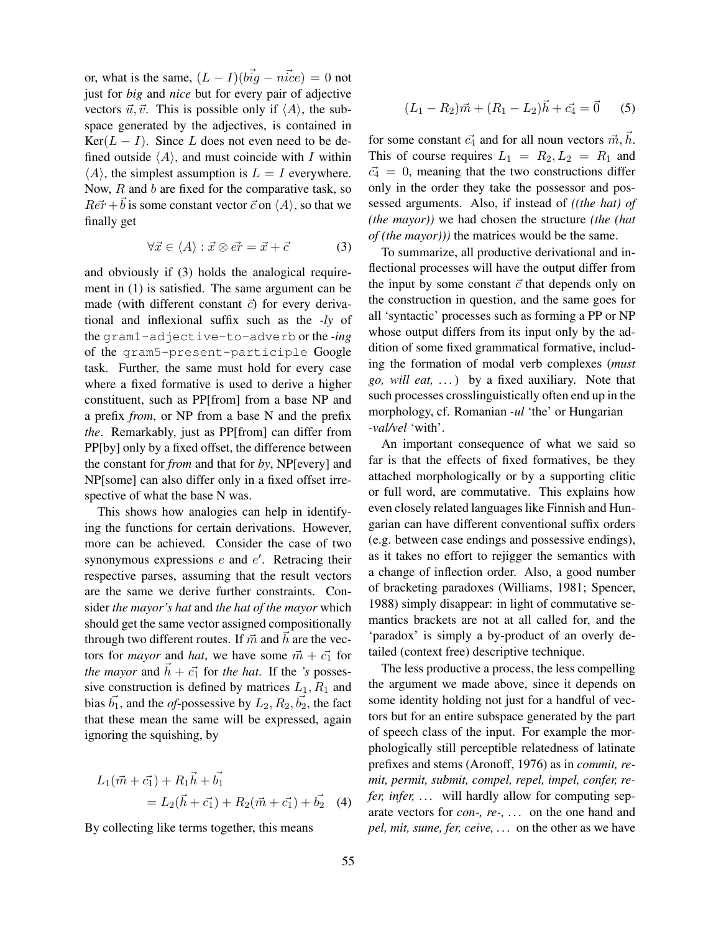or, what is the same,  $(L - I)(b\vec{y} - \vec{u}c\vec{e}) = 0$  not just for *big* and *nice* but for every pair of adjective vectors  $\vec{u}, \vec{v}$ . This is possible only if  $\langle A \rangle$ , the subspace generated by the adjectives, is contained in  $Ker(L - I)$ . Since L does not even need to be defined outside  $\langle A \rangle$ , and must coincide with I within  $\langle A \rangle$ , the simplest assumption is  $L = I$  everywhere. Now,  $R$  and  $b$  are fixed for the comparative task, so  $Re \vec{r} + b$  is some constant vector  $\vec{c}$  on  $\langle A \rangle$ , so that we finally get

$$
\forall \vec{x} \in \langle A \rangle : \vec{x} \otimes \vec{er} = \vec{x} + \vec{c} \tag{3}
$$

and obviously if (3) holds the analogical requirement in (1) is satisfied. The same argument can be made (with different constant  $\vec{c}$ ) for every derivational and inflexional suffix such as the *-ly* of the gram1-adjective-to-adverb or the *-ing* of the gram5-present-participle Google task. Further, the same must hold for every case where a fixed formative is used to derive a higher constituent, such as PP[from] from a base NP and a prefix *from*, or NP from a base N and the prefix *the*. Remarkably, just as PP[from] can differ from PP[by] only by a fixed offset, the difference between the constant for *from* and that for *by*, NP[every] and NP[some] can also differ only in a fixed offset irrespective of what the base N was.

This shows how analogies can help in identifying the functions for certain derivations. However, more can be achieved. Consider the case of two synonymous expressions  $e$  and  $e'$ . Retracing their respective parses, assuming that the result vectors are the same we derive further constraints. Consider *the mayor's hat* and *the hat of the mayor* which should get the same vector assigned compositionally through two different routes. If  $\vec{m}$  and  $\vec{h}$  are the vectors for *mayor* and *hat*, we have some  $\vec{m} + \vec{c_1}$  for *the mayor* and  $\vec{h} + \vec{c_1}$  for *the hat*. If the *'s* possessive construction is defined by matrices  $L_1, R_1$  and bias  $\vec{b_1}$ , and the *of*-possessive by  $L_2, R_2, \vec{b_2}$ , the fact that these mean the same will be expressed, again ignoring the squishing, by

$$
L_1(\vec{m} + \vec{c_1}) + R_1\vec{h} + \vec{b_1}
$$
  
=  $L_2(\vec{h} + \vec{c_1}) + R_2(\vec{m} + \vec{c_1}) + \vec{b_2}$  (4)

By collecting like terms together, this means

$$
(L_1 - R_2)\vec{m} + (R_1 - L_2)\vec{h} + \vec{c_4} = \vec{0}
$$
 (5)

for some constant  $\vec{c_4}$  and for all noun vectors  $\vec{m}, \vec{h}$ . This of course requires  $L_1 = R_2, L_2 = R_1$  and  $\vec{c_4} = 0$ , meaning that the two constructions differ only in the order they take the possessor and possessed arguments. Also, if instead of *((the hat) of (the mayor))* we had chosen the structure *(the (hat of (the mayor)))* the matrices would be the same.

To summarize, all productive derivational and inflectional processes will have the output differ from the input by some constant  $\vec{c}$  that depends only on the construction in question, and the same goes for all 'syntactic' processes such as forming a PP or NP whose output differs from its input only by the addition of some fixed grammatical formative, including the formation of modal verb complexes (*must go, will eat, . . .*) by a fixed auxiliary. Note that such processes crosslinguistically often end up in the morphology, cf. Romanian *-ul* 'the' or Hungarian *-val/vel* 'with'.

An important consequence of what we said so far is that the effects of fixed formatives, be they attached morphologically or by a supporting clitic or full word, are commutative. This explains how even closely related languages like Finnish and Hungarian can have different conventional suffix orders (e.g. between case endings and possessive endings), as it takes no effort to rejigger the semantics with a change of inflection order. Also, a good number of bracketing paradoxes (Williams, 1981; Spencer, 1988) simply disappear: in light of commutative semantics brackets are not at all called for, and the 'paradox' is simply a by-product of an overly detailed (context free) descriptive technique.

The less productive a process, the less compelling the argument we made above, since it depends on some identity holding not just for a handful of vectors but for an entire subspace generated by the part of speech class of the input. For example the morphologically still perceptible relatedness of latinate prefixes and stems (Aronoff, 1976) as in *commit, remit, permit, submit, compel, repel, impel, confer, refer, infer, ...* will hardly allow for computing separate vectors for *con-, re-, . . .* on the one hand and *pel, mit, sume, fer, ceive, . . .* on the other as we have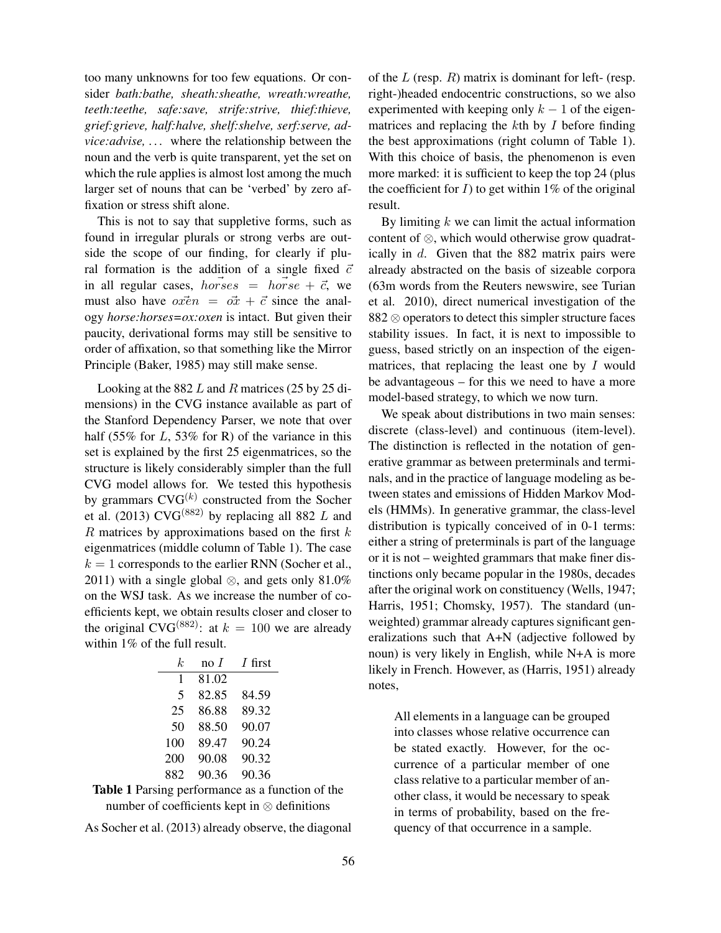too many unknowns for too few equations. Or consider *bath:bathe, sheath:sheathe, wreath:wreathe, teeth:teethe, safe:save, strife:strive, thief:thieve, grief:grieve, half:halve, shelf:shelve, serf:serve, advice:advise, . . .* where the relationship between the noun and the verb is quite transparent, yet the set on which the rule applies is almost lost among the much larger set of nouns that can be 'verbed' by zero affixation or stress shift alone.

This is not to say that suppletive forms, such as found in irregular plurals or strong verbs are outside the scope of our finding, for clearly if plural formation is the addition of a single fixed  $\vec{c}$ in all regular cases, horses = horse +  $\vec{c}$ , we must also have  $\overrightarrow{ox} = \overrightarrow{ox} + \overrightarrow{c}$  since the analogy *horse:horses=ox:oxen* is intact. But given their paucity, derivational forms may still be sensitive to order of affixation, so that something like the Mirror Principle (Baker, 1985) may still make sense.

Looking at the 882 L and R matrices (25 by 25 dimensions) in the CVG instance available as part of the Stanford Dependency Parser, we note that over half (55% for  $L$ , 53% for R) of the variance in this set is explained by the first 25 eigenmatrices, so the structure is likely considerably simpler than the full CVG model allows for. We tested this hypothesis by grammars  $CVG^{(k)}$  constructed from the Socher et al. (2013) CVG<sup>(882)</sup> by replacing all 882 L and  $R$  matrices by approximations based on the first  $k$ eigenmatrices (middle column of Table 1). The case  $k = 1$  corresponds to the earlier RNN (Socher et al., 2011) with a single global  $\otimes$ , and gets only 81.0% on the WSJ task. As we increase the number of coefficients kept, we obtain results closer and closer to the original CVG<sup>(882)</sup>: at  $k = 100$  we are already within 1% of the full result.

| k.  | $\overline{p}$ no $\overline{I}$ | <i>I</i> first |
|-----|----------------------------------|----------------|
| 1   | 81.02                            |                |
| 5   | 82.85                            | 84.59          |
| 25  | 86.88                            | 89.32          |
| 50  | 88.50                            | 90.07          |
| 100 | 89.47                            | 90.24          |
| 200 | 90.08                            | 90.32          |
| 882 | 90.36                            | 90.36          |



As Socher et al. (2013) already observe, the diagonal

of the  $L$  (resp.  $R$ ) matrix is dominant for left- (resp. right-)headed endocentric constructions, so we also experimented with keeping only  $k - 1$  of the eigenmatrices and replacing the  $k$ th by  $I$  before finding the best approximations (right column of Table 1). With this choice of basis, the phenomenon is even more marked: it is sufficient to keep the top 24 (plus the coefficient for  $I$ ) to get within 1% of the original result.

By limiting  $k$  we can limit the actual information content of ⊗, which would otherwise grow quadratically in d. Given that the 882 matrix pairs were already abstracted on the basis of sizeable corpora (63m words from the Reuters newswire, see Turian et al. 2010), direct numerical investigation of the 882 ⊗ operators to detect this simpler structure faces stability issues. In fact, it is next to impossible to guess, based strictly on an inspection of the eigenmatrices, that replacing the least one by  $I$  would be advantageous – for this we need to have a more model-based strategy, to which we now turn.

We speak about distributions in two main senses: discrete (class-level) and continuous (item-level). The distinction is reflected in the notation of generative grammar as between preterminals and terminals, and in the practice of language modeling as between states and emissions of Hidden Markov Models (HMMs). In generative grammar, the class-level distribution is typically conceived of in 0-1 terms: either a string of preterminals is part of the language or it is not – weighted grammars that make finer distinctions only became popular in the 1980s, decades after the original work on constituency (Wells, 1947; Harris, 1951; Chomsky, 1957). The standard (unweighted) grammar already captures significant generalizations such that A+N (adjective followed by noun) is very likely in English, while N+A is more likely in French. However, as (Harris, 1951) already notes,

All elements in a language can be grouped into classes whose relative occurrence can be stated exactly. However, for the occurrence of a particular member of one class relative to a particular member of another class, it would be necessary to speak in terms of probability, based on the frequency of that occurrence in a sample.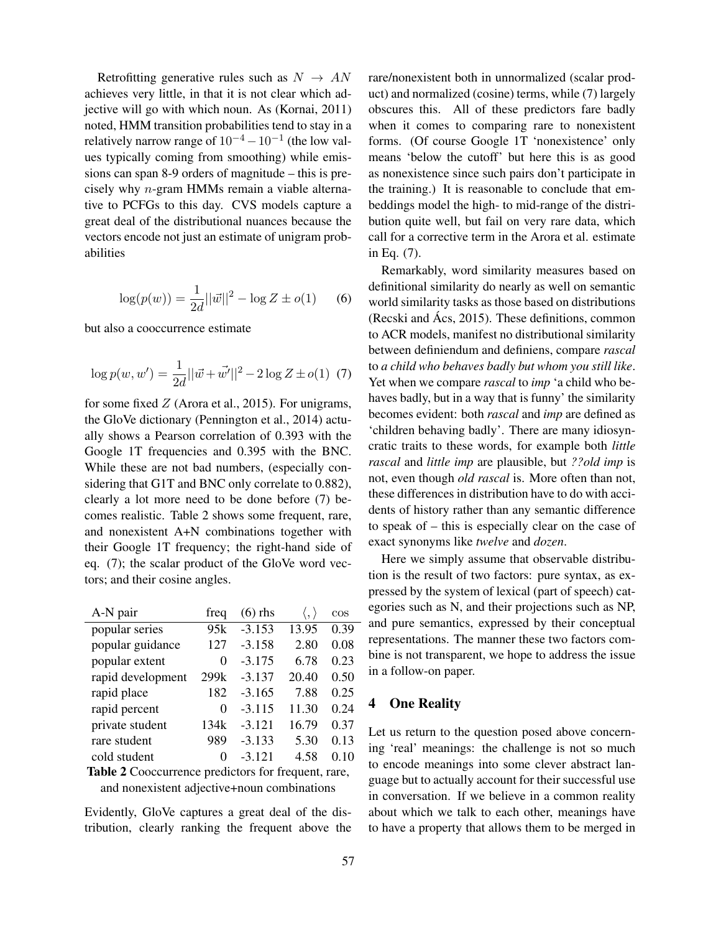Retrofitting generative rules such as  $N \rightarrow AN$ achieves very little, in that it is not clear which adjective will go with which noun. As (Kornai, 2011) noted, HMM transition probabilities tend to stay in a relatively narrow range of  $10^{-4} - 10^{-1}$  (the low values typically coming from smoothing) while emissions can span 8-9 orders of magnitude – this is precisely why n-gram HMMs remain a viable alternative to PCFGs to this day. CVS models capture a great deal of the distributional nuances because the vectors encode not just an estimate of unigram probabilities

$$
\log(p(w)) = \frac{1}{2d} ||\vec{w}||^2 - \log Z \pm o(1) \qquad (6)
$$

but also a cooccurrence estimate

$$
\log p(w, w') = \frac{1}{2d} ||\vec{w} + \vec{w'}||^2 - 2\log Z \pm o(1) \tag{7}
$$

for some fixed  $Z$  (Arora et al., 2015). For unigrams, the GloVe dictionary (Pennington et al., 2014) actually shows a Pearson correlation of 0.393 with the Google 1T frequencies and 0.395 with the BNC. While these are not bad numbers, (especially considering that G1T and BNC only correlate to 0.882), clearly a lot more need to be done before (7) becomes realistic. Table 2 shows some frequent, rare, and nonexistent A+N combinations together with their Google 1T frequency; the right-hand side of eq. (7); the scalar product of the GloVe word vectors; and their cosine angles.

| A-N pair          | freq | $(6)$ rhs |       | $\cos$ |
|-------------------|------|-----------|-------|--------|
| popular series    | 95k  | $-3.153$  | 13.95 | 0.39   |
| popular guidance  | 127  | $-3.158$  | 2.80  | 0.08   |
| popular extent    | 0    | $-3.175$  | 6.78  | 0.23   |
| rapid development | 299k | $-3.137$  | 20.40 | 0.50   |
| rapid place       | 182  | $-3.165$  | 7.88  | 0.25   |
| rapid percent     | 0    | $-3.115$  | 11.30 | 0.24   |
| private student   | 134k | $-3.121$  | 16.79 | 0.37   |
| rare student      | 989  | $-3.133$  | 5.30  | 0.13   |
| cold student      | 0    | $-3.121$  | 4.58  | 0.10   |
|                   |      |           |       |        |

Table 2 Cooccurrence predictors for frequent, rare, and nonexistent adjective+noun combinations

Evidently, GloVe captures a great deal of the distribution, clearly ranking the frequent above the rare/nonexistent both in unnormalized (scalar product) and normalized (cosine) terms, while (7) largely obscures this. All of these predictors fare badly when it comes to comparing rare to nonexistent forms. (Of course Google 1T 'nonexistence' only means 'below the cutoff' but here this is as good as nonexistence since such pairs don't participate in the training.) It is reasonable to conclude that embeddings model the high- to mid-range of the distribution quite well, but fail on very rare data, which call for a corrective term in the Arora et al. estimate in Eq. (7).

Remarkably, word similarity measures based on definitional similarity do nearly as well on semantic world similarity tasks as those based on distributions (Recski and  $\angle$ Acs, 2015). These definitions, common to ACR models, manifest no distributional similarity between definiendum and definiens, compare *rascal* to *a child who behaves badly but whom you still like*. Yet when we compare *rascal* to *imp* 'a child who behaves badly, but in a way that is funny' the similarity becomes evident: both *rascal* and *imp* are defined as 'children behaving badly'. There are many idiosyncratic traits to these words, for example both *little rascal* and *little imp* are plausible, but *??old imp* is not, even though *old rascal* is. More often than not, these differences in distribution have to do with accidents of history rather than any semantic difference to speak of – this is especially clear on the case of exact synonyms like *twelve* and *dozen*.

Here we simply assume that observable distribution is the result of two factors: pure syntax, as expressed by the system of lexical (part of speech) categories such as N, and their projections such as NP, and pure semantics, expressed by their conceptual representations. The manner these two factors combine is not transparent, we hope to address the issue in a follow-on paper.

### 4 One Reality

Let us return to the question posed above concerning 'real' meanings: the challenge is not so much to encode meanings into some clever abstract language but to actually account for their successful use in conversation. If we believe in a common reality about which we talk to each other, meanings have to have a property that allows them to be merged in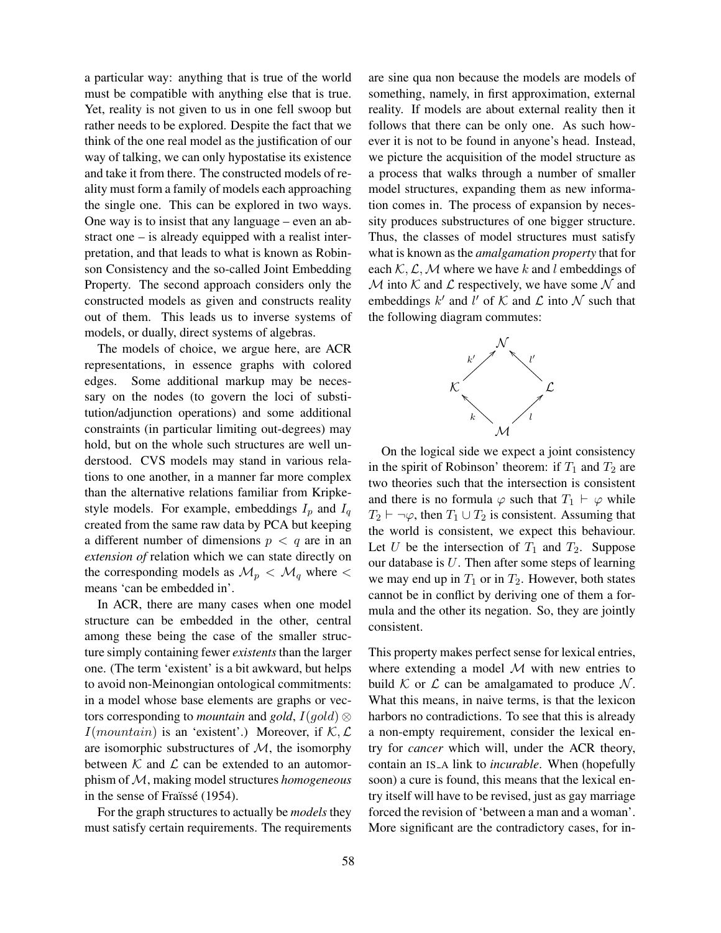a particular way: anything that is true of the world must be compatible with anything else that is true. Yet, reality is not given to us in one fell swoop but rather needs to be explored. Despite the fact that we think of the one real model as the justification of our way of talking, we can only hypostatise its existence and take it from there. The constructed models of reality must form a family of models each approaching the single one. This can be explored in two ways. One way is to insist that any language – even an abstract one – is already equipped with a realist interpretation, and that leads to what is known as Robinson Consistency and the so-called Joint Embedding Property. The second approach considers only the constructed models as given and constructs reality out of them. This leads us to inverse systems of models, or dually, direct systems of algebras.

The models of choice, we argue here, are ACR representations, in essence graphs with colored edges. Some additional markup may be necessary on the nodes (to govern the loci of substitution/adjunction operations) and some additional constraints (in particular limiting out-degrees) may hold, but on the whole such structures are well understood. CVS models may stand in various relations to one another, in a manner far more complex than the alternative relations familiar from Kripkestyle models. For example, embeddings  $I_p$  and  $I_q$ created from the same raw data by PCA but keeping a different number of dimensions  $p < q$  are in an *extension of* relation which we can state directly on the corresponding models as  $\mathcal{M}_p < \mathcal{M}_q$  where  $\lt$ means 'can be embedded in'.

In ACR, there are many cases when one model structure can be embedded in the other, central among these being the case of the smaller structure simply containing fewer *existents*than the larger one. (The term 'existent' is a bit awkward, but helps to avoid non-Meinongian ontological commitments: in a model whose base elements are graphs or vectors corresponding to *mountain* and *gold*,  $I(gold)$  ⊗  $I(mountain)$  is an 'existent'.) Moreover, if  $K, L$ are isomorphic substructures of  $M$ , the isomorphy between  $K$  and  $L$  can be extended to an automorphism of  $M$ , making model structures *homogeneous* in the sense of Fraïssé (1954).

For the graph structures to actually be *models* they must satisfy certain requirements. The requirements are sine qua non because the models are models of something, namely, in first approximation, external reality. If models are about external reality then it follows that there can be only one. As such however it is not to be found in anyone's head. Instead, we picture the acquisition of the model structure as a process that walks through a number of smaller model structures, expanding them as new information comes in. The process of expansion by necessity produces substructures of one bigger structure. Thus, the classes of model structures must satisfy what is known as the *amalgamation property* that for each  $K, \mathcal{L}, \mathcal{M}$  where we have k and l embeddings of  $M$  into K and L respectively, we have some N and embeddings  $k'$  and  $l'$  of  $K$  and  $\mathcal L$  into  $\mathcal N$  such that the following diagram commutes:



On the logical side we expect a joint consistency in the spirit of Robinson' theorem: if  $T_1$  and  $T_2$  are two theories such that the intersection is consistent and there is no formula  $\varphi$  such that  $T_1 \vdash \varphi$  while  $T_2 \vdash \neg \varphi$ , then  $T_1 \cup T_2$  is consistent. Assuming that the world is consistent, we expect this behaviour. Let U be the intersection of  $T_1$  and  $T_2$ . Suppose our database is  $U$ . Then after some steps of learning we may end up in  $T_1$  or in  $T_2$ . However, both states cannot be in conflict by deriving one of them a formula and the other its negation. So, they are jointly consistent.

This property makes perfect sense for lexical entries, where extending a model  $M$  with new entries to build K or L can be amalgamated to produce N. What this means, in naive terms, is that the lexicon harbors no contradictions. To see that this is already a non-empty requirement, consider the lexical entry for *cancer* which will, under the ACR theory, contain an IS\_A link to *incurable*. When (hopefully soon) a cure is found, this means that the lexical entry itself will have to be revised, just as gay marriage forced the revision of 'between a man and a woman'. More significant are the contradictory cases, for in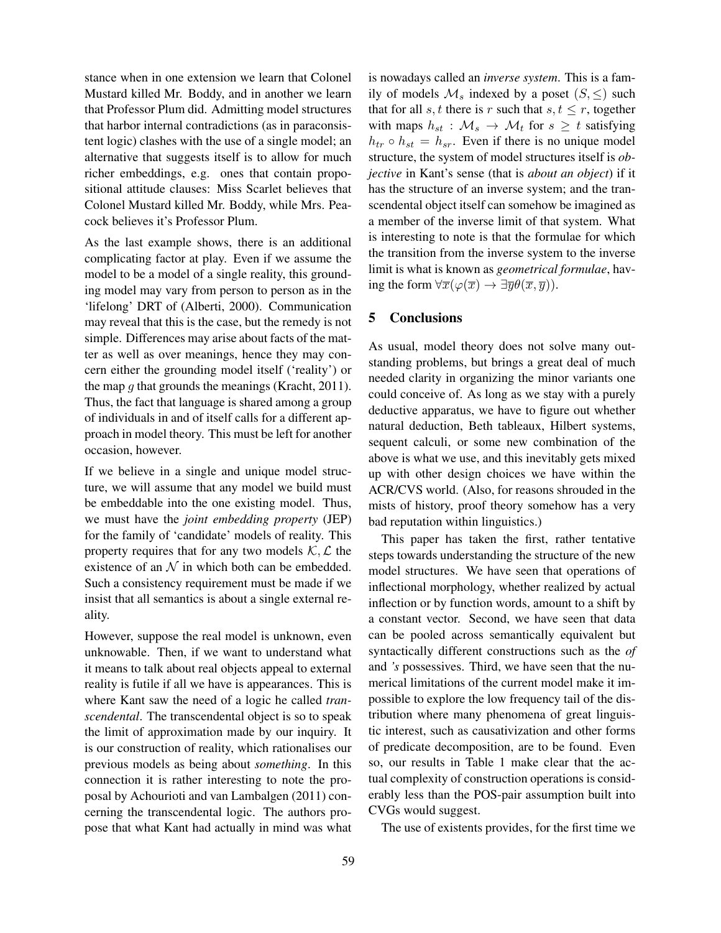stance when in one extension we learn that Colonel Mustard killed Mr. Boddy, and in another we learn that Professor Plum did. Admitting model structures that harbor internal contradictions (as in paraconsistent logic) clashes with the use of a single model; an alternative that suggests itself is to allow for much richer embeddings, e.g. ones that contain propositional attitude clauses: Miss Scarlet believes that Colonel Mustard killed Mr. Boddy, while Mrs. Peacock believes it's Professor Plum.

As the last example shows, there is an additional complicating factor at play. Even if we assume the model to be a model of a single reality, this grounding model may vary from person to person as in the 'lifelong' DRT of (Alberti, 2000). Communication may reveal that this is the case, but the remedy is not simple. Differences may arise about facts of the matter as well as over meanings, hence they may concern either the grounding model itself ('reality') or the map  $q$  that grounds the meanings (Kracht, 2011). Thus, the fact that language is shared among a group of individuals in and of itself calls for a different approach in model theory. This must be left for another occasion, however.

If we believe in a single and unique model structure, we will assume that any model we build must be embeddable into the one existing model. Thus, we must have the *joint embedding property* (JEP) for the family of 'candidate' models of reality. This property requires that for any two models  $K, \mathcal{L}$  the existence of an  $\mathcal N$  in which both can be embedded. Such a consistency requirement must be made if we insist that all semantics is about a single external reality.

However, suppose the real model is unknown, even unknowable. Then, if we want to understand what it means to talk about real objects appeal to external reality is futile if all we have is appearances. This is where Kant saw the need of a logic he called *transcendental*. The transcendental object is so to speak the limit of approximation made by our inquiry. It is our construction of reality, which rationalises our previous models as being about *something*. In this connection it is rather interesting to note the proposal by Achourioti and van Lambalgen (2011) concerning the transcendental logic. The authors propose that what Kant had actually in mind was what is nowadays called an *inverse system*. This is a family of models  $\mathcal{M}_s$  indexed by a poset  $(S, \le)$  such that for all  $s, t$  there is r such that  $s, t \leq r$ , together with maps  $h_{st}$ :  $\mathcal{M}_s \rightarrow \mathcal{M}_t$  for  $s \geq t$  satisfying  $h_{tr} \circ h_{st} = h_{sr}$ . Even if there is no unique model structure, the system of model structures itself is *objective* in Kant's sense (that is *about an object*) if it has the structure of an inverse system; and the transcendental object itself can somehow be imagined as a member of the inverse limit of that system. What is interesting to note is that the formulae for which the transition from the inverse system to the inverse limit is what is known as *geometrical formulae*, having the form  $\forall \overline{x}(\varphi(\overline{x}) \to \exists \overline{y} \theta(\overline{x}, \overline{y}))$ .

### 5 Conclusions

As usual, model theory does not solve many outstanding problems, but brings a great deal of much needed clarity in organizing the minor variants one could conceive of. As long as we stay with a purely deductive apparatus, we have to figure out whether natural deduction, Beth tableaux, Hilbert systems, sequent calculi, or some new combination of the above is what we use, and this inevitably gets mixed up with other design choices we have within the ACR/CVS world. (Also, for reasons shrouded in the mists of history, proof theory somehow has a very bad reputation within linguistics.)

This paper has taken the first, rather tentative steps towards understanding the structure of the new model structures. We have seen that operations of inflectional morphology, whether realized by actual inflection or by function words, amount to a shift by a constant vector. Second, we have seen that data can be pooled across semantically equivalent but syntactically different constructions such as the *of* and *'s* possessives. Third, we have seen that the numerical limitations of the current model make it impossible to explore the low frequency tail of the distribution where many phenomena of great linguistic interest, such as causativization and other forms of predicate decomposition, are to be found. Even so, our results in Table 1 make clear that the actual complexity of construction operations is considerably less than the POS-pair assumption built into CVGs would suggest.

The use of existents provides, for the first time we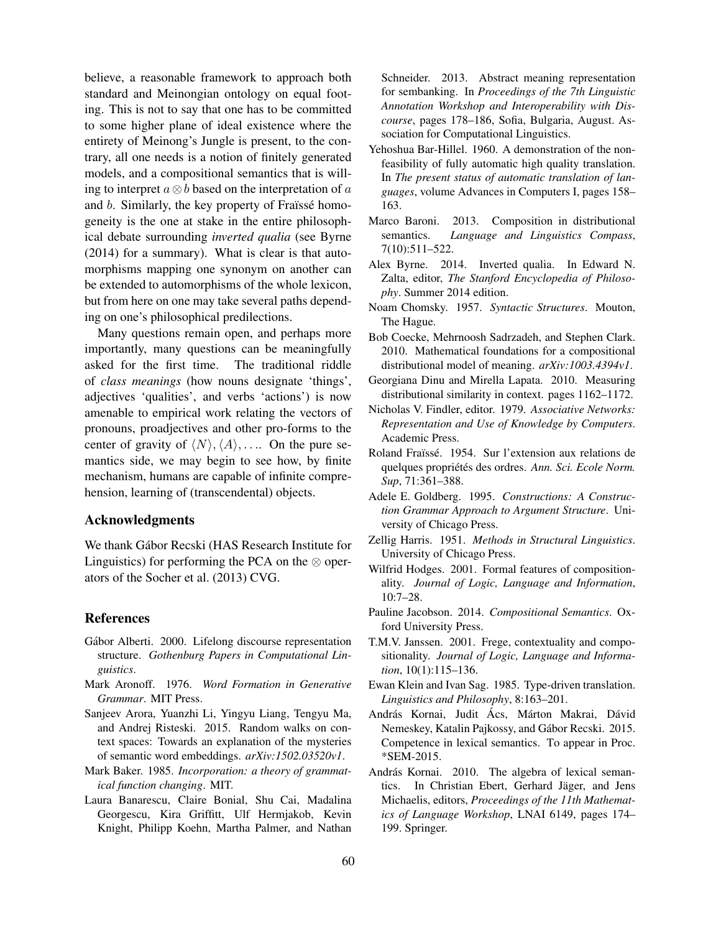believe, a reasonable framework to approach both standard and Meinongian ontology on equal footing. This is not to say that one has to be committed to some higher plane of ideal existence where the entirety of Meinong's Jungle is present, to the contrary, all one needs is a notion of finitely generated models, and a compositional semantics that is willing to interpret  $a \otimes b$  based on the interpretation of a and b. Similarly, the key property of Fraïssé homogeneity is the one at stake in the entire philosophical debate surrounding *inverted qualia* (see Byrne (2014) for a summary). What is clear is that automorphisms mapping one synonym on another can be extended to automorphisms of the whole lexicon, but from here on one may take several paths depending on one's philosophical predilections.

Many questions remain open, and perhaps more importantly, many questions can be meaningfully asked for the first time. The traditional riddle of *class meanings* (how nouns designate 'things', adjectives 'qualities', and verbs 'actions') is now amenable to empirical work relating the vectors of pronouns, proadjectives and other pro-forms to the center of gravity of  $\langle N \rangle$ ,  $\langle A \rangle$ , .... On the pure semantics side, we may begin to see how, by finite mechanism, humans are capable of infinite comprehension, learning of (transcendental) objects.

### Acknowledgments

We thank Gabor Recski (HAS Research Institute for ´ Linguistics) for performing the PCA on the  $\otimes$  operators of the Socher et al. (2013) CVG.

#### References

- Gábor Alberti. 2000. Lifelong discourse representation structure. *Gothenburg Papers in Computational Linguistics*.
- Mark Aronoff. 1976. *Word Formation in Generative Grammar*. MIT Press.
- Sanjeev Arora, Yuanzhi Li, Yingyu Liang, Tengyu Ma, and Andrej Risteski. 2015. Random walks on context spaces: Towards an explanation of the mysteries of semantic word embeddings. *arXiv:1502.03520v1*.
- Mark Baker. 1985. *Incorporation: a theory of grammatical function changing*. MIT.
- Laura Banarescu, Claire Bonial, Shu Cai, Madalina Georgescu, Kira Griffitt, Ulf Hermjakob, Kevin Knight, Philipp Koehn, Martha Palmer, and Nathan

Schneider. 2013. Abstract meaning representation for sembanking. In *Proceedings of the 7th Linguistic Annotation Workshop and Interoperability with Discourse*, pages 178–186, Sofia, Bulgaria, August. Association for Computational Linguistics.

- Yehoshua Bar-Hillel. 1960. A demonstration of the nonfeasibility of fully automatic high quality translation. In *The present status of automatic translation of languages*, volume Advances in Computers I, pages 158– 163.
- Marco Baroni. 2013. Composition in distributional semantics. *Language and Linguistics Compass*, 7(10):511–522.
- Alex Byrne. 2014. Inverted qualia. In Edward N. Zalta, editor, *The Stanford Encyclopedia of Philosophy*. Summer 2014 edition.
- Noam Chomsky. 1957. *Syntactic Structures*. Mouton, The Hague.
- Bob Coecke, Mehrnoosh Sadrzadeh, and Stephen Clark. 2010. Mathematical foundations for a compositional distributional model of meaning. *arXiv:1003.4394v1*.
- Georgiana Dinu and Mirella Lapata. 2010. Measuring distributional similarity in context. pages 1162–1172.
- Nicholas V. Findler, editor. 1979. *Associative Networks: Representation and Use of Knowledge by Computers*. Academic Press.
- Roland Fraïssé. 1954. Sur l'extension aux relations de quelques propriétés des ordres. Ann. Sci. Ecole Norm. *Sup*, 71:361–388.
- Adele E. Goldberg. 1995. *Constructions: A Construction Grammar Approach to Argument Structure*. University of Chicago Press.
- Zellig Harris. 1951. *Methods in Structural Linguistics*. University of Chicago Press.
- Wilfrid Hodges. 2001. Formal features of compositionality. *Journal of Logic, Language and Information*, 10:7–28.
- Pauline Jacobson. 2014. *Compositional Semantics*. Oxford University Press.
- T.M.V. Janssen. 2001. Frege, contextuality and compositionality. *Journal of Logic, Language and Information*, 10(1):115–136.
- Ewan Klein and Ivan Sag. 1985. Type-driven translation. *Linguistics and Philosophy*, 8:163–201.
- András Kornai, Judit Ács, Márton Makrai, Dávid Nemeskey, Katalin Pajkossy, and Gábor Recski. 2015. Competence in lexical semantics. To appear in Proc. \*SEM-2015.
- András Kornai. 2010. The algebra of lexical semantics. In Christian Ebert, Gerhard Jäger, and Jens Michaelis, editors, *Proceedings of the 11th Mathematics of Language Workshop*, LNAI 6149, pages 174– 199. Springer.